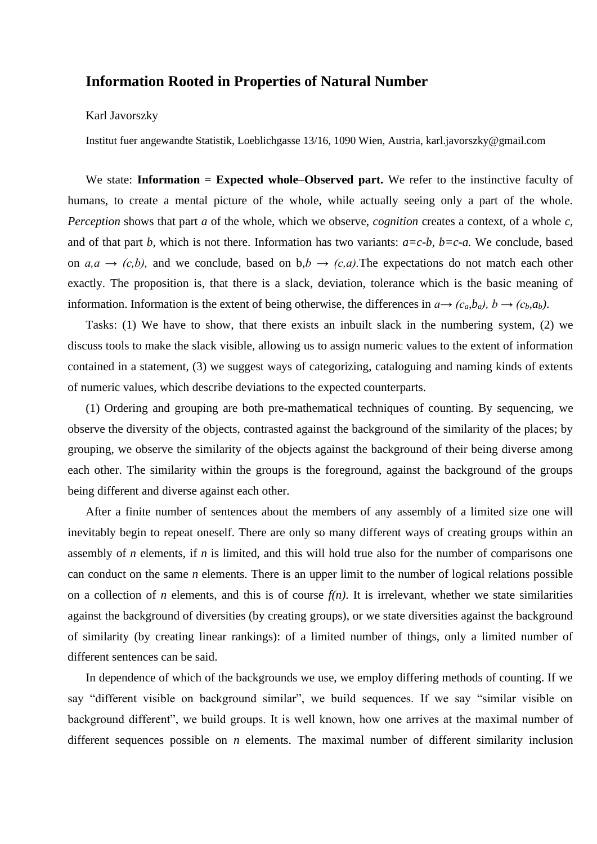## **Information Rooted in Properties of Natural Number**

## Karl Javorszky

Institut fuer angewandte Statistik, Loeblichgasse 13/16, 1090 Wien, Austria, karl.javorszky@gmail.com

We state: **Information = Expected whole–Observed part.** We refer to the instinctive faculty of humans, to create a mental picture of the whole, while actually seeing only a part of the whole. *Perception* shows that part *a* of the whole, which we observe, *cognition* creates a context, of a whole *c,*  and of that part *b,* which is not there. Information has two variants: *a=c-b, b=c-a.* We conclude, based on  $a, a \rightarrow (c,b)$ , and we conclude, based on  $b, b \rightarrow (c,a)$ . The expectations do not match each other exactly. The proposition is, that there is a slack, deviation, tolerance which is the basic meaning of information. Information is the extent of being otherwise, the differences in  $a \rightarrow (c_a, b_a)$ ,  $b \rightarrow (c_b, a_b)$ .

Tasks: (1) We have to show, that there exists an inbuilt slack in the numbering system, (2) we discuss tools to make the slack visible, allowing us to assign numeric values to the extent of information contained in a statement, (3) we suggest ways of categorizing, cataloguing and naming kinds of extents of numeric values, which describe deviations to the expected counterparts.

(1) Ordering and grouping are both pre-mathematical techniques of counting. By sequencing, we observe the diversity of the objects, contrasted against the background of the similarity of the places; by grouping, we observe the similarity of the objects against the background of their being diverse among each other. The similarity within the groups is the foreground, against the background of the groups being different and diverse against each other.

After a finite number of sentences about the members of any assembly of a limited size one will inevitably begin to repeat oneself. There are only so many different ways of creating groups within an assembly of *n* elements, if *n* is limited, and this will hold true also for the number of comparisons one can conduct on the same *n* elements. There is an upper limit to the number of logical relations possible on a collection of *n* elements, and this is of course  $f(n)$ . It is irrelevant, whether we state similarities against the background of diversities (by creating groups), or we state diversities against the background of similarity (by creating linear rankings): of a limited number of things, only a limited number of different sentences can be said.

In dependence of which of the backgrounds we use, we employ differing methods of counting. If we say "different visible on background similar", we build sequences. If we say "similar visible on background different", we build groups. It is well known, how one arrives at the maximal number of different sequences possible on *n* elements. The maximal number of different similarity inclusion